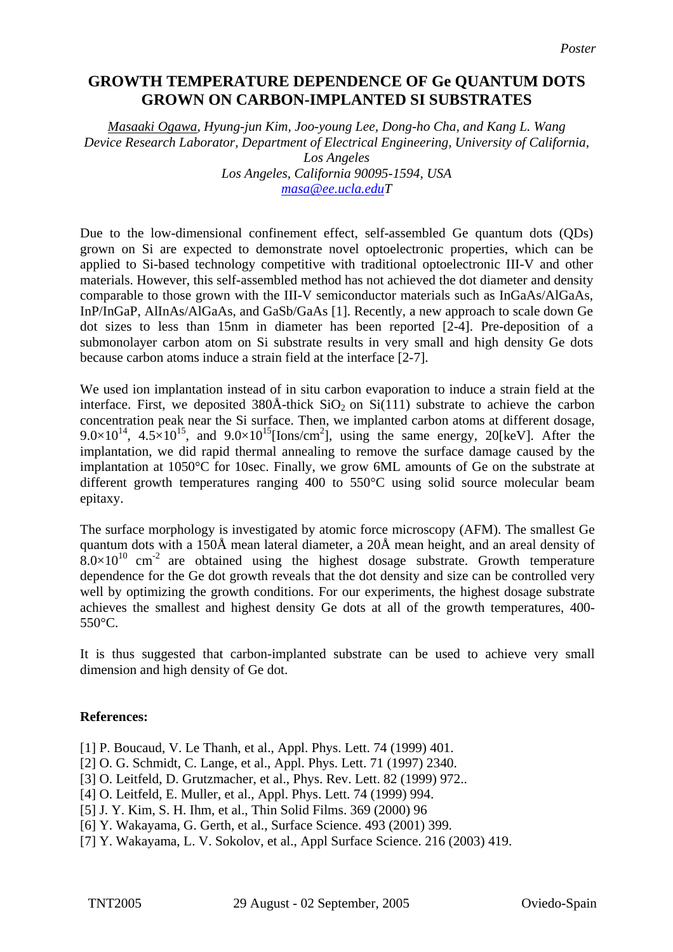## **GROWTH TEMPERATURE DEPENDENCE OF Ge QUANTUM DOTS GROWN ON CARBON-IMPLANTED SI SUBSTRATES**

*Masaaki Ogawa, Hyung-jun Kim, Joo-young Lee, Dong-ho Cha, and Kang L. Wang Device Research Laborator, Department of Electrical Engineering, University of California, Los Angeles Los Angeles, California 90095-1594, USA [masa@ee.ucla.eduT](mailto:masa@ee.ucla.edu)*

Due to the low-dimensional confinement effect, self-assembled Ge quantum dots (QDs) grown on Si are expected to demonstrate novel optoelectronic properties, which can be applied to Si-based technology competitive with traditional optoelectronic III-V and other materials. However, this self-assembled method has not achieved the dot diameter and density comparable to those grown with the III-V semiconductor materials such as InGaAs/AlGaAs, InP/InGaP, AlInAs/AlGaAs, and GaSb/GaAs [1]. Recently, a new approach to scale down Ge dot sizes to less than 15nm in diameter has been reported [2-4]. Pre-deposition of a submonolayer carbon atom on Si substrate results in very small and high density Ge dots because carbon atoms induce a strain field at the interface [2-7].

We used ion implantation instead of in situ carbon evaporation to induce a strain field at the interface. First, we deposited  $380\text{\AA}$ -thick  $SiO_2$  on  $Si(111)$  substrate to achieve the carbon concentration peak near the Si surface. Then, we implanted carbon atoms at different dosage,  $9.0\times10^{14}$ ,  $4.5\times10^{15}$ , and  $9.0\times10^{15}$ [Ions/cm<sup>2</sup>], using the same energy, 20[keV]. After the implantation, we did rapid thermal annealing to remove the surface damage caused by the implantation at 1050°C for 10sec. Finally, we grow 6ML amounts of Ge on the substrate at different growth temperatures ranging 400 to 550°C using solid source molecular beam epitaxy.

The surface morphology is investigated by atomic force microscopy (AFM). The smallest Ge quantum dots with a 150Å mean lateral diameter, a 20Å mean height, and an areal density of  $8.0\times10^{10}$  cm<sup>-2</sup> are obtained using the highest dosage substrate. Growth temperature dependence for the Ge dot growth reveals that the dot density and size can be controlled very well by optimizing the growth conditions. For our experiments, the highest dosage substrate achieves the smallest and highest density Ge dots at all of the growth temperatures, 400- 550°C.

It is thus suggested that carbon-implanted substrate can be used to achieve very small dimension and high density of Ge dot.

## **References:**

- [1] P. Boucaud, V. Le Thanh, et al., Appl. Phys. Lett. 74 (1999) 401.
- [2] O. G. Schmidt, C. Lange, et al., Appl. Phys. Lett. 71 (1997) 2340.
- [3] O. Leitfeld, D. Grutzmacher, et al., Phys. Rev. Lett. 82 (1999) 972..
- [4] O. Leitfeld, E. Muller, et al., Appl. Phys. Lett. 74 (1999) 994.
- [5] J. Y. Kim, S. H. Ihm, et al., Thin Solid Films. 369 (2000) 96
- [6] Y. Wakayama, G. Gerth, et al., Surface Science. 493 (2001) 399.
- [7] Y. Wakayama, L. V. Sokolov, et al., Appl Surface Science. 216 (2003) 419.